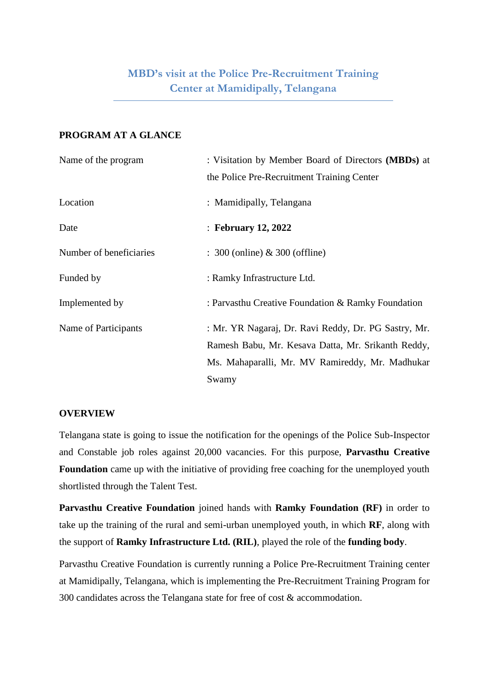### **PROGRAM AT A GLANCE**

| Name of the program     | : Visitation by Member Board of Directors (MBDs) at  |
|-------------------------|------------------------------------------------------|
|                         | the Police Pre-Recruitment Training Center           |
| Location                | : Mamidipally, Telangana                             |
| Date                    | : February 12, 2022                                  |
| Number of beneficiaries | $\therefore$ 300 (online) & 300 (offline)            |
| Funded by               | : Ramky Infrastructure Ltd.                          |
| Implemented by          | : Parvasthu Creative Foundation & Ramky Foundation   |
| Name of Participants    | : Mr. YR Nagaraj, Dr. Ravi Reddy, Dr. PG Sastry, Mr. |
|                         | Ramesh Babu, Mr. Kesava Datta, Mr. Srikanth Reddy,   |
|                         | Ms. Mahaparalli, Mr. MV Ramireddy, Mr. Madhukar      |
|                         | Swamy                                                |

#### **OVERVIEW**

Telangana state is going to issue the notification for the openings of the Police Sub-Inspector and Constable job roles against 20,000 vacancies. For this purpose, **Parvasthu Creative Foundation** came up with the initiative of providing free coaching for the unemployed youth shortlisted through the Talent Test.

**Parvasthu Creative Foundation** joined hands with **Ramky Foundation (RF)** in order to take up the training of the rural and semi-urban unemployed youth, in which **RF**, along with the support of **Ramky Infrastructure Ltd. (RIL)**, played the role of the **funding body**.

Parvasthu Creative Foundation is currently running a Police Pre-Recruitment Training center at Mamidipally, Telangana, which is implementing the Pre-Recruitment Training Program for 300 candidates across the Telangana state for free of cost & accommodation.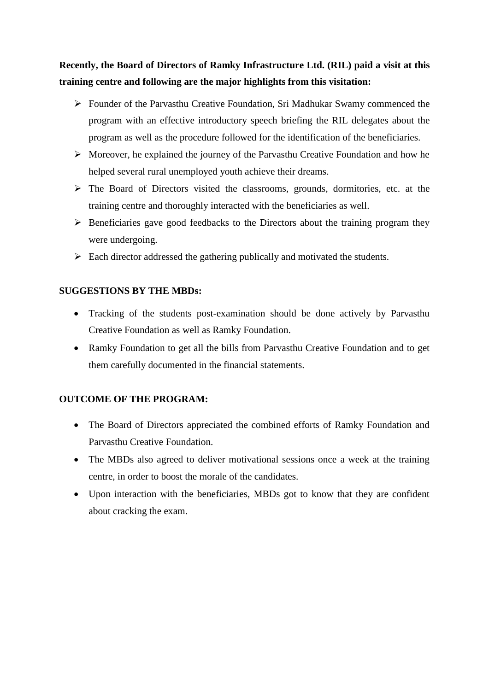**Recently, the Board of Directors of Ramky Infrastructure Ltd. (RIL) paid a visit at this training centre and following are the major highlights from this visitation:**

- Founder of the Parvasthu Creative Foundation, Sri Madhukar Swamy commenced the program with an effective introductory speech briefing the RIL delegates about the program as well as the procedure followed for the identification of the beneficiaries.
- $\triangleright$  Moreover, he explained the journey of the Parvasthu Creative Foundation and how he helped several rural unemployed youth achieve their dreams.
- The Board of Directors visited the classrooms, grounds, dormitories, etc. at the training centre and thoroughly interacted with the beneficiaries as well.
- $\triangleright$  Beneficiaries gave good feedbacks to the Directors about the training program they were undergoing.
- $\triangleright$  Each director addressed the gathering publically and motivated the students.

## **SUGGESTIONS BY THE MBDs:**

- Tracking of the students post-examination should be done actively by Parvasthu Creative Foundation as well as Ramky Foundation.
- Ramky Foundation to get all the bills from Parvasthu Creative Foundation and to get them carefully documented in the financial statements.

### **OUTCOME OF THE PROGRAM:**

- The Board of Directors appreciated the combined efforts of Ramky Foundation and Parvasthu Creative Foundation.
- The MBDs also agreed to deliver motivational sessions once a week at the training centre, in order to boost the morale of the candidates.
- Upon interaction with the beneficiaries, MBDs got to know that they are confident about cracking the exam.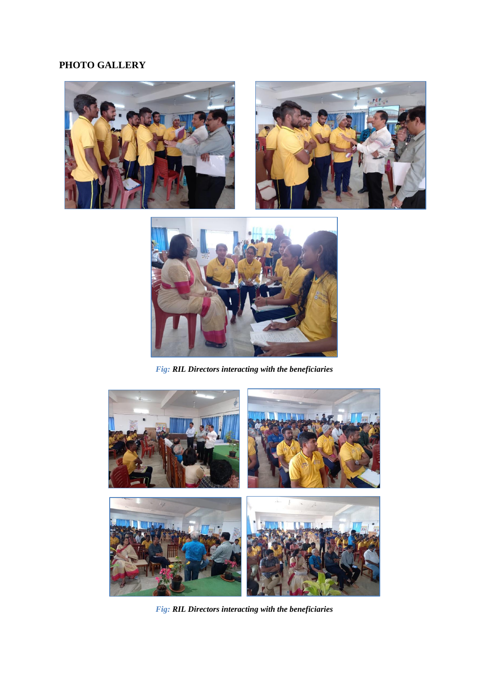# **PHOTO GALLERY**





*Fig: RIL Directors interacting with the beneficiaries*



*Fig: RIL Directors interacting with the beneficiaries*